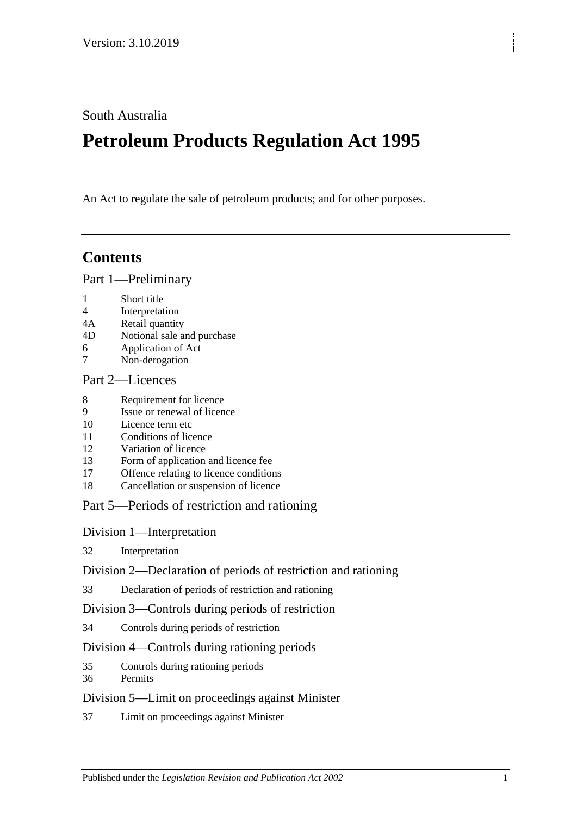South Australia

# **Petroleum Products Regulation Act 1995**

An Act to regulate the sale of petroleum products; and for other purposes.

# **Contents**

[Part 1—Preliminary](#page-1-0)

- 1 [Short title](#page-1-1)
- 4 [Interpretation](#page-1-2)
- 4A [Retail quantity](#page-3-0)<br>4D Notional sale a
- [Notional sale and purchase](#page-4-0)
- 6 [Application of Act](#page-4-1)
- 7 [Non-derogation](#page-4-2)

# [Part 2—Licences](#page-4-3)

- 8 [Requirement for licence](#page-4-4)<br>9 Issue or renewal of licen
- [Issue or renewal of licence](#page-4-5)
- 10 [Licence term etc](#page-4-6)
- 11 [Conditions of licence](#page-5-0)
- 12 [Variation of licence](#page-5-1)<br>13 Form of application
- 13 [Form of application and licence fee](#page-5-2)<br>17 Offence relating to licence condition
- 17 [Offence relating to licence conditions](#page-6-0)<br>18 Cancellation or suspension of licence
- [Cancellation or suspension of licence](#page-6-1)

# [Part 5—Periods of restriction and rationing](#page-6-2)

[Division 1—Interpretation](#page-6-3)

32 [Interpretation](#page-6-4)

[Division 2—Declaration of periods of restriction and rationing](#page-6-5)

33 [Declaration of periods of restriction and rationing](#page-6-6)

[Division 3—Controls during periods of restriction](#page-7-0)

34 [Controls during periods of restriction](#page-7-1)

[Division 4—Controls during rationing periods](#page-8-0)

- 35 [Controls during rationing periods](#page-8-1)
- 36 [Permits](#page-8-2)

## [Division 5—Limit on proceedings against Minister](#page-9-0)

37 [Limit on proceedings against Minister](#page-9-1)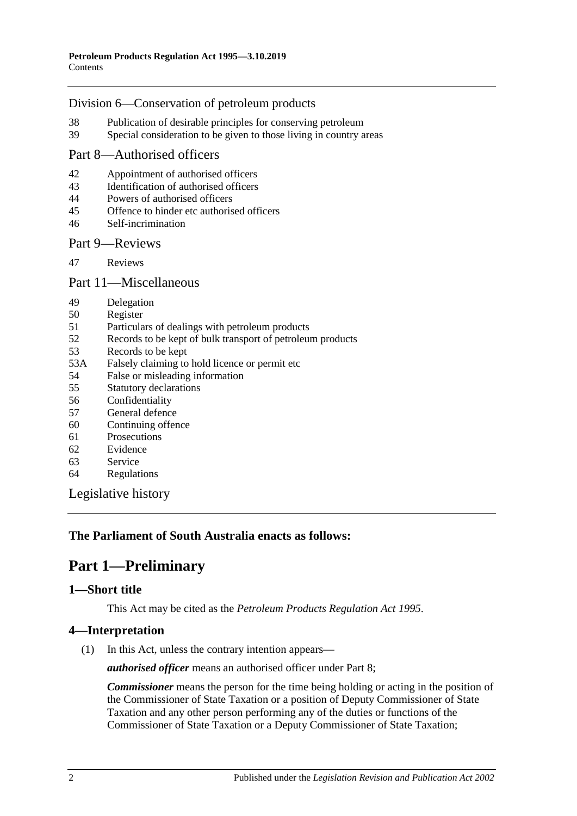#### [Division 6—Conservation of petroleum products](#page-9-2)

- 38 [Publication of desirable principles for conserving petroleum](#page-9-3)<br>39 Special consideration to be given to those living in country a
- [Special consideration to be given to those living in country areas](#page-9-4)

# [Part 8—Authorised officers](#page-10-0)

- 42 [Appointment of authorised officers](#page-10-1)<br>43 Identification of authorised officers
- [Identification of authorised officers](#page-10-2)
- 44 [Powers of authorised officers](#page-10-3)<br>45 Offence to hinder etc authoris
- 45 [Offence to hinder etc authorised officers](#page-11-0)
- 46 [Self-incrimination](#page-12-0)

#### [Part 9—Reviews](#page-12-1)

47 [Reviews](#page-12-2)

#### [Part 11—Miscellaneous](#page-13-0)

- 49 [Delegation](#page-13-1)<br>50 Register
- [Register](#page-13-2)
- 51 [Particulars of dealings with petroleum products](#page-13-3)
- 52 [Records to be kept of bulk transport of petroleum products](#page-14-0)
- 53 [Records to be kept](#page-14-1)
- 53A [Falsely claiming to hold licence or permit etc](#page-14-2)<br>54 False or misleading information
- 54 [False or misleading information](#page-14-3)<br>55 Statutory declarations
- [Statutory declarations](#page-15-0)
- 56 [Confidentiality](#page-15-1)
- 57 [General defence](#page-16-0)
- 60 [Continuing offence](#page-16-1)
- 61 [Prosecutions](#page-16-2)
- 62 [Evidence](#page-17-0)<br>63 Service
- [Service](#page-17-1)
- 64 [Regulations](#page-18-0)

[Legislative history](#page-19-0)

## <span id="page-1-0"></span>**The Parliament of South Australia enacts as follows:**

# **Part 1—Preliminary**

## <span id="page-1-1"></span>**1—Short title**

This Act may be cited as the *Petroleum Products Regulation Act 1995*.

## <span id="page-1-2"></span>**4—Interpretation**

(1) In this Act, unless the contrary intention appears—

*authorised officer* means an authorised officer under [Part 8;](#page-10-0)

*Commissioner* means the person for the time being holding or acting in the position of the Commissioner of State Taxation or a position of Deputy Commissioner of State Taxation and any other person performing any of the duties or functions of the Commissioner of State Taxation or a Deputy Commissioner of State Taxation;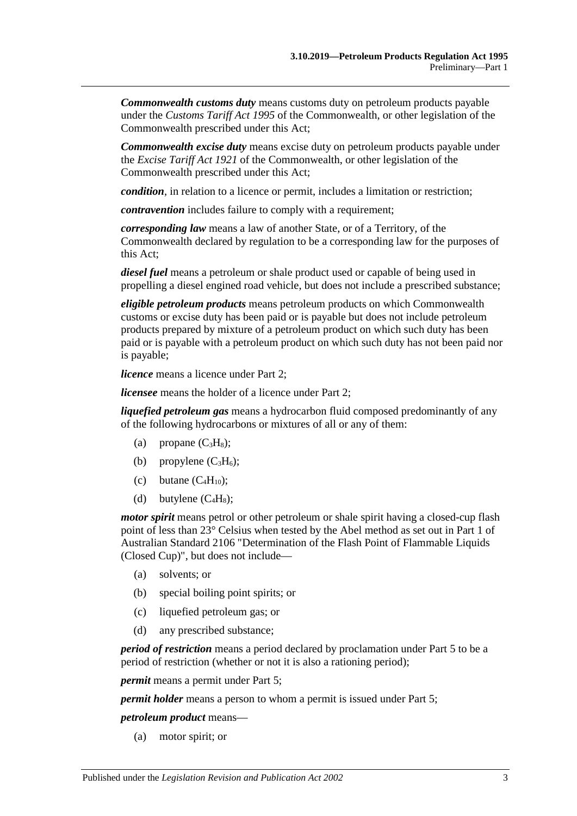*Commonwealth customs duty* means customs duty on petroleum products payable under the *Customs Tariff Act 1995* of the Commonwealth, or other legislation of the Commonwealth prescribed under this Act;

*Commonwealth excise duty* means excise duty on petroleum products payable under the *Excise Tariff Act 1921* of the Commonwealth, or other legislation of the Commonwealth prescribed under this Act;

*condition*, in relation to a licence or permit, includes a limitation or restriction;

*contravention* includes failure to comply with a requirement;

*corresponding law* means a law of another State, or of a Territory, of the Commonwealth declared by regulation to be a corresponding law for the purposes of this Act;

*diesel fuel* means a petroleum or shale product used or capable of being used in propelling a diesel engined road vehicle, but does not include a prescribed substance;

*eligible petroleum products* means petroleum products on which Commonwealth customs or excise duty has been paid or is payable but does not include petroleum products prepared by mixture of a petroleum product on which such duty has been paid or is payable with a petroleum product on which such duty has not been paid nor is payable;

*licence* means a licence under [Part 2;](#page-4-3)

*licensee* means the holder of a licence unde[r Part 2;](#page-4-3)

*liquefied petroleum gas* means a hydrocarbon fluid composed predominantly of any of the following hydrocarbons or mixtures of all or any of them:

- (a) propane  $(C_3H_8)$ ;
- (b) propylene  $(C_3H_6)$ ;
- (c) butane  $(C_4H_{10})$ ;
- (d) butylene  $(C_4H_8)$ ;

*motor spirit* means petrol or other petroleum or shale spirit having a closed-cup flash point of less than 23° Celsius when tested by the Abel method as set out in Part 1 of Australian Standard 2106 "Determination of the Flash Point of Flammable Liquids (Closed Cup)", but does not include—

- (a) solvents; or
- (b) special boiling point spirits; or
- (c) liquefied petroleum gas; or
- (d) any prescribed substance;

*period of restriction* means a period declared by proclamation under [Part 5](#page-6-2) to be a period of restriction (whether or not it is also a rationing period);

*permit* means a permit under [Part 5;](#page-6-2)

*permit holder* means a person to whom a permit is issued under [Part 5;](#page-6-2)

*petroleum product* means—

(a) motor spirit; or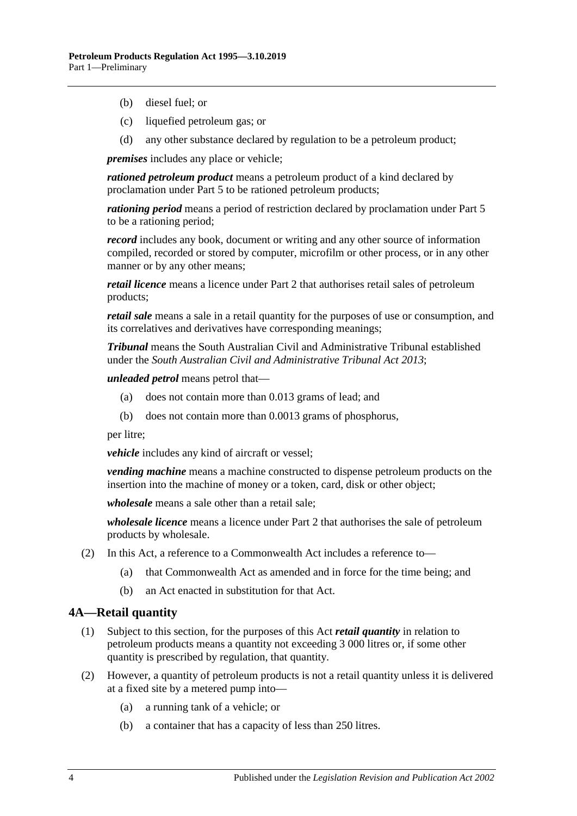- (b) diesel fuel; or
- (c) liquefied petroleum gas; or
- (d) any other substance declared by regulation to be a petroleum product;

*premises* includes any place or vehicle;

*rationed petroleum product* means a petroleum product of a kind declared by proclamation under [Part 5](#page-6-2) to be rationed petroleum products;

*rationing period* means a period of restriction declared by proclamation under [Part 5](#page-6-2) to be a rationing period;

*record* includes any book, document or writing and any other source of information compiled, recorded or stored by computer, microfilm or other process, or in any other manner or by any other means;

*retail licence* means a licence under [Part 2](#page-4-3) that authorises retail sales of petroleum products;

*retail sale* means a sale in a retail quantity for the purposes of use or consumption, and its correlatives and derivatives have corresponding meanings;

*Tribunal* means the South Australian Civil and Administrative Tribunal established under the *[South Australian Civil and Administrative Tribunal Act](http://www.legislation.sa.gov.au/index.aspx?action=legref&type=act&legtitle=South%20Australian%20Civil%20and%20Administrative%20Tribunal%20Act%202013) 2013*;

*unleaded petrol* means petrol that—

- (a) does not contain more than 0.013 grams of lead; and
- (b) does not contain more than 0.0013 grams of phosphorus,

per litre;

*vehicle* includes any kind of aircraft or vessel;

*vending machine* means a machine constructed to dispense petroleum products on the insertion into the machine of money or a token, card, disk or other object;

*wholesale* means a sale other than a retail sale;

*wholesale licence* means a licence under [Part 2](#page-4-3) that authorises the sale of petroleum products by wholesale.

- (2) In this Act, a reference to a Commonwealth Act includes a reference to—
	- (a) that Commonwealth Act as amended and in force for the time being; and
	- (b) an Act enacted in substitution for that Act.

#### <span id="page-3-0"></span>**4A—Retail quantity**

- (1) Subject to this section, for the purposes of this Act *retail quantity* in relation to petroleum products means a quantity not exceeding 3 000 litres or, if some other quantity is prescribed by regulation, that quantity.
- (2) However, a quantity of petroleum products is not a retail quantity unless it is delivered at a fixed site by a metered pump into—
	- (a) a running tank of a vehicle; or
	- (b) a container that has a capacity of less than 250 litres.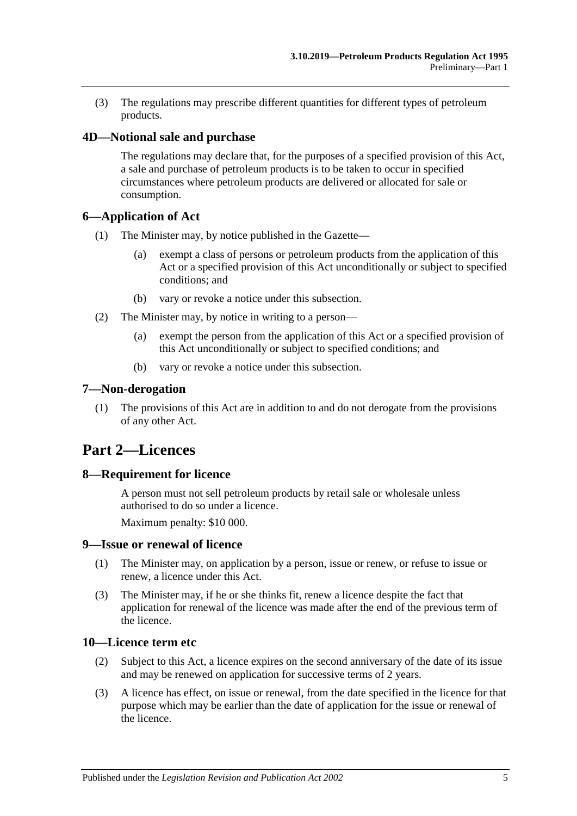(3) The regulations may prescribe different quantities for different types of petroleum products.

### <span id="page-4-0"></span>**4D—Notional sale and purchase**

The regulations may declare that, for the purposes of a specified provision of this Act, a sale and purchase of petroleum products is to be taken to occur in specified circumstances where petroleum products are delivered or allocated for sale or consumption.

#### <span id="page-4-1"></span>**6—Application of Act**

- (1) The Minister may, by notice published in the Gazette—
	- (a) exempt a class of persons or petroleum products from the application of this Act or a specified provision of this Act unconditionally or subject to specified conditions; and
	- (b) vary or revoke a notice under this subsection.
- (2) The Minister may, by notice in writing to a person—
	- (a) exempt the person from the application of this Act or a specified provision of this Act unconditionally or subject to specified conditions; and
	- (b) vary or revoke a notice under this subsection.

#### <span id="page-4-2"></span>**7—Non-derogation**

(1) The provisions of this Act are in addition to and do not derogate from the provisions of any other Act.

# <span id="page-4-3"></span>**Part 2—Licences**

#### <span id="page-4-4"></span>**8—Requirement for licence**

A person must not sell petroleum products by retail sale or wholesale unless authorised to do so under a licence.

Maximum penalty: \$10 000.

#### <span id="page-4-5"></span>**9—Issue or renewal of licence**

- (1) The Minister may, on application by a person, issue or renew, or refuse to issue or renew, a licence under this Act.
- (3) The Minister may, if he or she thinks fit, renew a licence despite the fact that application for renewal of the licence was made after the end of the previous term of the licence.

#### <span id="page-4-6"></span>**10—Licence term etc**

- (2) Subject to this Act, a licence expires on the second anniversary of the date of its issue and may be renewed on application for successive terms of 2 years.
- (3) A licence has effect, on issue or renewal, from the date specified in the licence for that purpose which may be earlier than the date of application for the issue or renewal of the licence.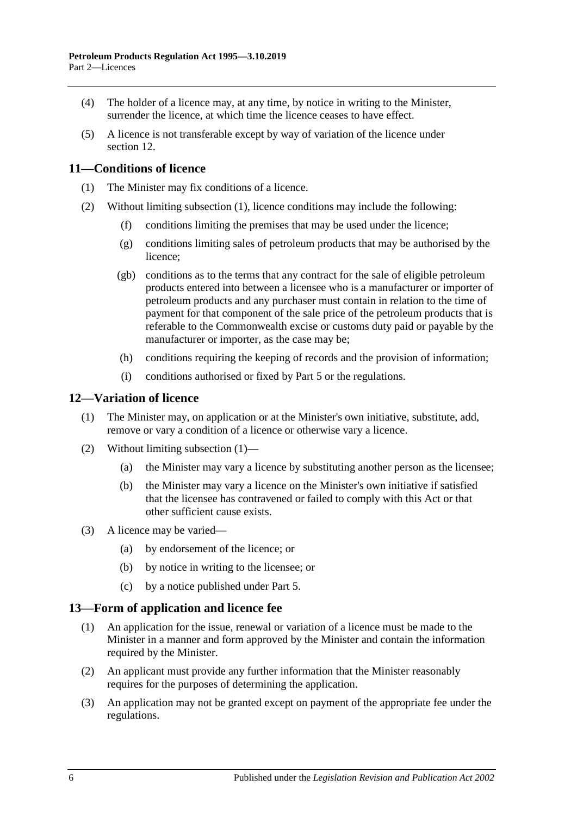- (4) The holder of a licence may, at any time, by notice in writing to the Minister, surrender the licence, at which time the licence ceases to have effect.
- (5) A licence is not transferable except by way of variation of the licence under [section](#page-5-1) 12.

# <span id="page-5-3"></span><span id="page-5-0"></span>**11—Conditions of licence**

- (1) The Minister may fix conditions of a licence.
- (2) Without limiting [subsection](#page-5-3) (1), licence conditions may include the following:
	- (f) conditions limiting the premises that may be used under the licence;
	- (g) conditions limiting sales of petroleum products that may be authorised by the licence;
	- (gb) conditions as to the terms that any contract for the sale of eligible petroleum products entered into between a licensee who is a manufacturer or importer of petroleum products and any purchaser must contain in relation to the time of payment for that component of the sale price of the petroleum products that is referable to the Commonwealth excise or customs duty paid or payable by the manufacturer or importer, as the case may be;
	- (h) conditions requiring the keeping of records and the provision of information;
	- (i) conditions authorised or fixed by [Part 5](#page-6-2) or the regulations.

### <span id="page-5-4"></span><span id="page-5-1"></span>**12—Variation of licence**

- (1) The Minister may, on application or at the Minister's own initiative, substitute, add, remove or vary a condition of a licence or otherwise vary a licence.
- (2) Without limiting [subsection](#page-5-4) (1)—
	- (a) the Minister may vary a licence by substituting another person as the licensee;
	- (b) the Minister may vary a licence on the Minister's own initiative if satisfied that the licensee has contravened or failed to comply with this Act or that other sufficient cause exists.
- (3) A licence may be varied—
	- (a) by endorsement of the licence; or
	- (b) by notice in writing to the licensee; or
	- (c) by a notice published under [Part 5.](#page-6-2)

#### <span id="page-5-2"></span>**13—Form of application and licence fee**

- (1) An application for the issue, renewal or variation of a licence must be made to the Minister in a manner and form approved by the Minister and contain the information required by the Minister.
- (2) An applicant must provide any further information that the Minister reasonably requires for the purposes of determining the application.
- (3) An application may not be granted except on payment of the appropriate fee under the regulations.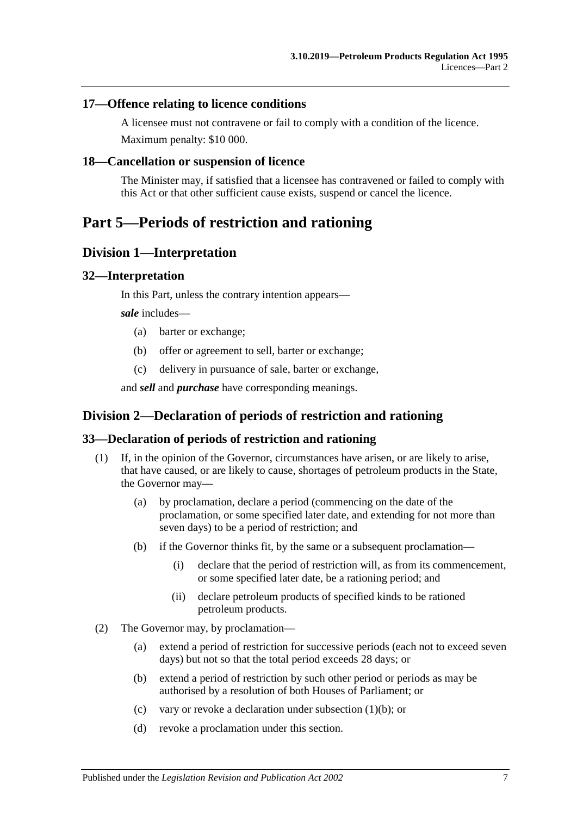### <span id="page-6-0"></span>**17—Offence relating to licence conditions**

A licensee must not contravene or fail to comply with a condition of the licence. Maximum penalty: \$10 000.

### <span id="page-6-1"></span>**18—Cancellation or suspension of licence**

The Minister may, if satisfied that a licensee has contravened or failed to comply with this Act or that other sufficient cause exists, suspend or cancel the licence.

# <span id="page-6-2"></span>**Part 5—Periods of restriction and rationing**

# <span id="page-6-3"></span>**Division 1—Interpretation**

#### <span id="page-6-4"></span>**32—Interpretation**

In this Part, unless the contrary intention appears—

*sale* includes—

- (a) barter or exchange;
- (b) offer or agreement to sell, barter or exchange;
- (c) delivery in pursuance of sale, barter or exchange,

and *sell* and *purchase* have corresponding meanings.

# <span id="page-6-5"></span>**Division 2—Declaration of periods of restriction and rationing**

#### <span id="page-6-6"></span>**33—Declaration of periods of restriction and rationing**

- <span id="page-6-7"></span>(1) If, in the opinion of the Governor, circumstances have arisen, or are likely to arise, that have caused, or are likely to cause, shortages of petroleum products in the State, the Governor may—
	- (a) by proclamation, declare a period (commencing on the date of the proclamation, or some specified later date, and extending for not more than seven days) to be a period of restriction; and
	- (b) if the Governor thinks fit, by the same or a subsequent proclamation—
		- (i) declare that the period of restriction will, as from its commencement, or some specified later date, be a rationing period; and
		- (ii) declare petroleum products of specified kinds to be rationed petroleum products.
- (2) The Governor may, by proclamation—
	- (a) extend a period of restriction for successive periods (each not to exceed seven days) but not so that the total period exceeds 28 days; or
	- (b) extend a period of restriction by such other period or periods as may be authorised by a resolution of both Houses of Parliament; or
	- (c) vary or revoke a declaration under [subsection](#page-6-7) (1)(b); or
	- (d) revoke a proclamation under this section.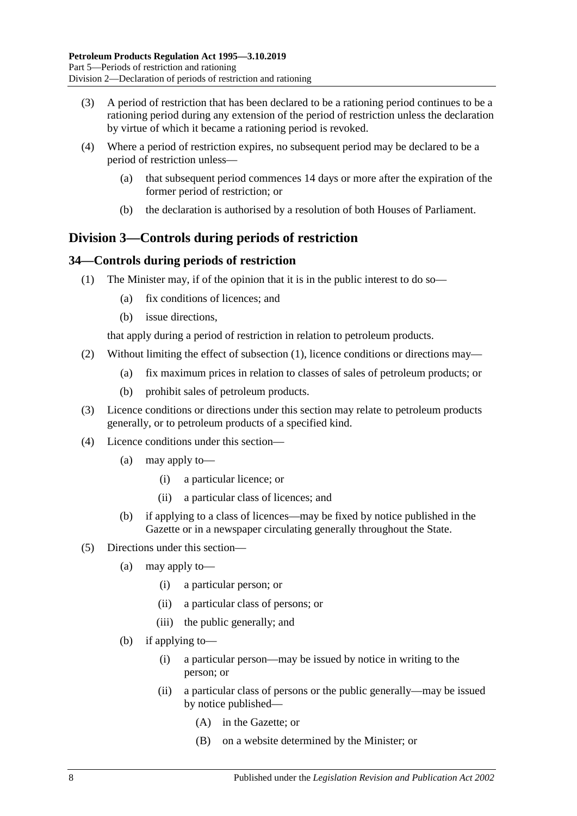- (3) A period of restriction that has been declared to be a rationing period continues to be a rationing period during any extension of the period of restriction unless the declaration by virtue of which it became a rationing period is revoked.
- (4) Where a period of restriction expires, no subsequent period may be declared to be a period of restriction unless—
	- (a) that subsequent period commences 14 days or more after the expiration of the former period of restriction; or
	- (b) the declaration is authorised by a resolution of both Houses of Parliament.

# <span id="page-7-0"></span>**Division 3—Controls during periods of restriction**

## <span id="page-7-2"></span><span id="page-7-1"></span>**34—Controls during periods of restriction**

- (1) The Minister may, if of the opinion that it is in the public interest to do so—
	- (a) fix conditions of licences; and
	- (b) issue directions,

that apply during a period of restriction in relation to petroleum products.

- (2) Without limiting the effect of [subsection](#page-7-2) (1), licence conditions or directions may—
	- (a) fix maximum prices in relation to classes of sales of petroleum products; or
	- (b) prohibit sales of petroleum products.
- (3) Licence conditions or directions under this section may relate to petroleum products generally, or to petroleum products of a specified kind.
- (4) Licence conditions under this section—
	- (a) may apply to—
		- (i) a particular licence; or
		- (ii) a particular class of licences; and
	- (b) if applying to a class of licences—may be fixed by notice published in the Gazette or in a newspaper circulating generally throughout the State.
- (5) Directions under this section—
	- (a) may apply to—
		- (i) a particular person; or
		- (ii) a particular class of persons; or
		- (iii) the public generally; and
	- (b) if applying to—
		- (i) a particular person—may be issued by notice in writing to the person; or
		- (ii) a particular class of persons or the public generally—may be issued by notice published—
			- (A) in the Gazette; or
			- (B) on a website determined by the Minister; or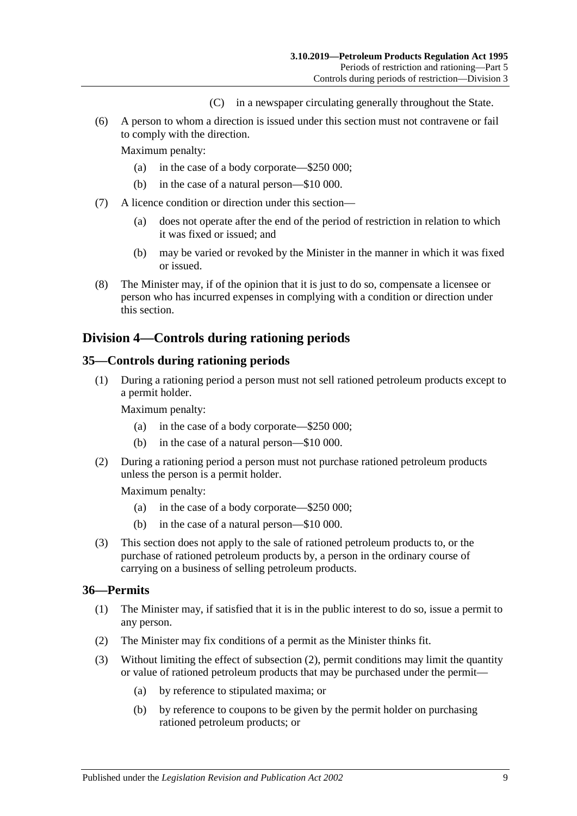- (C) in a newspaper circulating generally throughout the State.
- (6) A person to whom a direction is issued under this section must not contravene or fail to comply with the direction.

Maximum penalty:

- (a) in the case of a body corporate—\$250 000;
- (b) in the case of a natural person—\$10 000.
- (7) A licence condition or direction under this section—
	- (a) does not operate after the end of the period of restriction in relation to which it was fixed or issued; and
	- (b) may be varied or revoked by the Minister in the manner in which it was fixed or issued.
- (8) The Minister may, if of the opinion that it is just to do so, compensate a licensee or person who has incurred expenses in complying with a condition or direction under this section.

# <span id="page-8-0"></span>**Division 4—Controls during rationing periods**

#### <span id="page-8-1"></span>**35—Controls during rationing periods**

(1) During a rationing period a person must not sell rationed petroleum products except to a permit holder.

Maximum penalty:

- (a) in the case of a body corporate—\$250 000;
- (b) in the case of a natural person—\$10 000.
- (2) During a rationing period a person must not purchase rationed petroleum products unless the person is a permit holder.

Maximum penalty:

- (a) in the case of a body corporate—\$250 000;
- (b) in the case of a natural person—\$10 000.
- (3) This section does not apply to the sale of rationed petroleum products to, or the purchase of rationed petroleum products by, a person in the ordinary course of carrying on a business of selling petroleum products.

#### <span id="page-8-2"></span>**36—Permits**

- (1) The Minister may, if satisfied that it is in the public interest to do so, issue a permit to any person.
- <span id="page-8-3"></span>(2) The Minister may fix conditions of a permit as the Minister thinks fit.
- (3) Without limiting the effect of [subsection](#page-8-3) (2), permit conditions may limit the quantity or value of rationed petroleum products that may be purchased under the permit—
	- (a) by reference to stipulated maxima; or
	- (b) by reference to coupons to be given by the permit holder on purchasing rationed petroleum products; or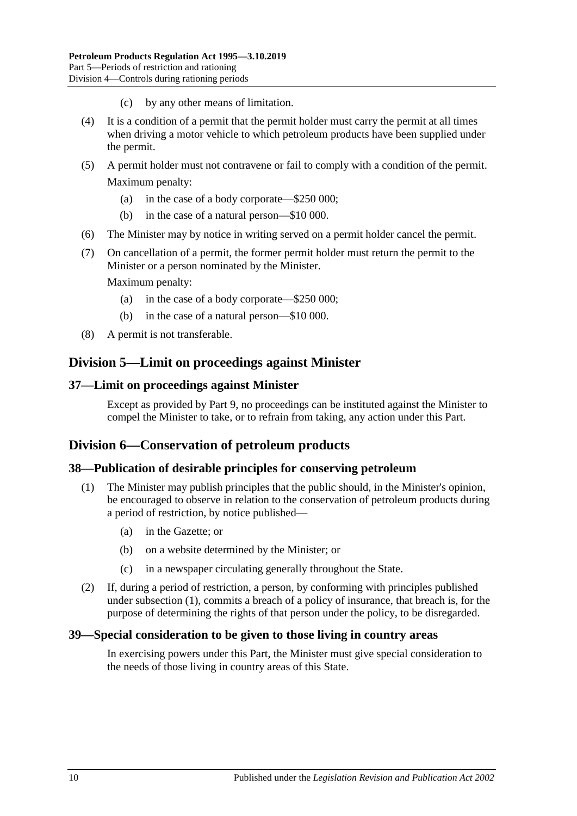- (c) by any other means of limitation.
- (4) It is a condition of a permit that the permit holder must carry the permit at all times when driving a motor vehicle to which petroleum products have been supplied under the permit.
- (5) A permit holder must not contravene or fail to comply with a condition of the permit. Maximum penalty:
	- (a) in the case of a body corporate—\$250 000;
	- (b) in the case of a natural person—\$10 000.
- (6) The Minister may by notice in writing served on a permit holder cancel the permit.
- (7) On cancellation of a permit, the former permit holder must return the permit to the Minister or a person nominated by the Minister.

Maximum penalty:

- (a) in the case of a body corporate—\$250 000;
- (b) in the case of a natural person—\$10 000.
- (8) A permit is not transferable.

# <span id="page-9-0"></span>**Division 5—Limit on proceedings against Minister**

#### <span id="page-9-1"></span>**37—Limit on proceedings against Minister**

Except as provided by Part 9, no proceedings can be instituted against the Minister to compel the Minister to take, or to refrain from taking, any action under this Part.

# <span id="page-9-2"></span>**Division 6—Conservation of petroleum products**

#### <span id="page-9-3"></span>**38—Publication of desirable principles for conserving petroleum**

- (1) The Minister may publish principles that the public should, in the Minister's opinion, be encouraged to observe in relation to the conservation of petroleum products during a period of restriction, by notice published—
	- (a) in the Gazette; or
	- (b) on a website determined by the Minister; or
	- (c) in a newspaper circulating generally throughout the State.
- (2) If, during a period of restriction, a person, by conforming with principles published under subsection (1), commits a breach of a policy of insurance, that breach is, for the purpose of determining the rights of that person under the policy, to be disregarded.

#### <span id="page-9-4"></span>**39—Special consideration to be given to those living in country areas**

In exercising powers under this Part, the Minister must give special consideration to the needs of those living in country areas of this State.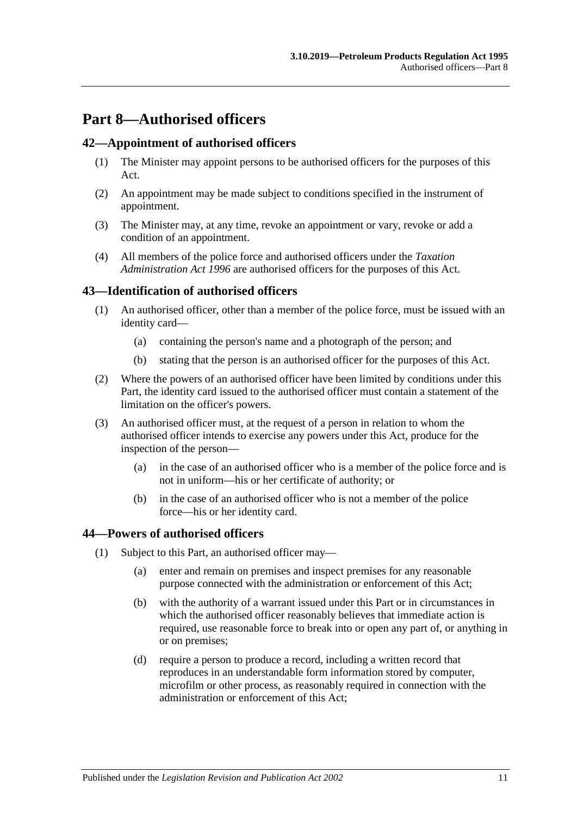# <span id="page-10-0"></span>**Part 8—Authorised officers**

#### <span id="page-10-1"></span>**42—Appointment of authorised officers**

- (1) The Minister may appoint persons to be authorised officers for the purposes of this Act.
- (2) An appointment may be made subject to conditions specified in the instrument of appointment.
- (3) The Minister may, at any time, revoke an appointment or vary, revoke or add a condition of an appointment.
- (4) All members of the police force and authorised officers under the *[Taxation](http://www.legislation.sa.gov.au/index.aspx?action=legref&type=act&legtitle=Taxation%20Administration%20Act%201996)  [Administration Act](http://www.legislation.sa.gov.au/index.aspx?action=legref&type=act&legtitle=Taxation%20Administration%20Act%201996) 1996* are authorised officers for the purposes of this Act.

## <span id="page-10-2"></span>**43—Identification of authorised officers**

- (1) An authorised officer, other than a member of the police force, must be issued with an identity card—
	- (a) containing the person's name and a photograph of the person; and
	- (b) stating that the person is an authorised officer for the purposes of this Act.
- (2) Where the powers of an authorised officer have been limited by conditions under this Part, the identity card issued to the authorised officer must contain a statement of the limitation on the officer's powers.
- (3) An authorised officer must, at the request of a person in relation to whom the authorised officer intends to exercise any powers under this Act, produce for the inspection of the person—
	- (a) in the case of an authorised officer who is a member of the police force and is not in uniform—his or her certificate of authority; or
	- (b) in the case of an authorised officer who is not a member of the police force—his or her identity card.

#### <span id="page-10-4"></span><span id="page-10-3"></span>**44—Powers of authorised officers**

- (1) Subject to this Part, an authorised officer may—
	- (a) enter and remain on premises and inspect premises for any reasonable purpose connected with the administration or enforcement of this Act;
	- (b) with the authority of a warrant issued under this Part or in circumstances in which the authorised officer reasonably believes that immediate action is required, use reasonable force to break into or open any part of, or anything in or on premises;
	- (d) require a person to produce a record, including a written record that reproduces in an understandable form information stored by computer, microfilm or other process, as reasonably required in connection with the administration or enforcement of this Act;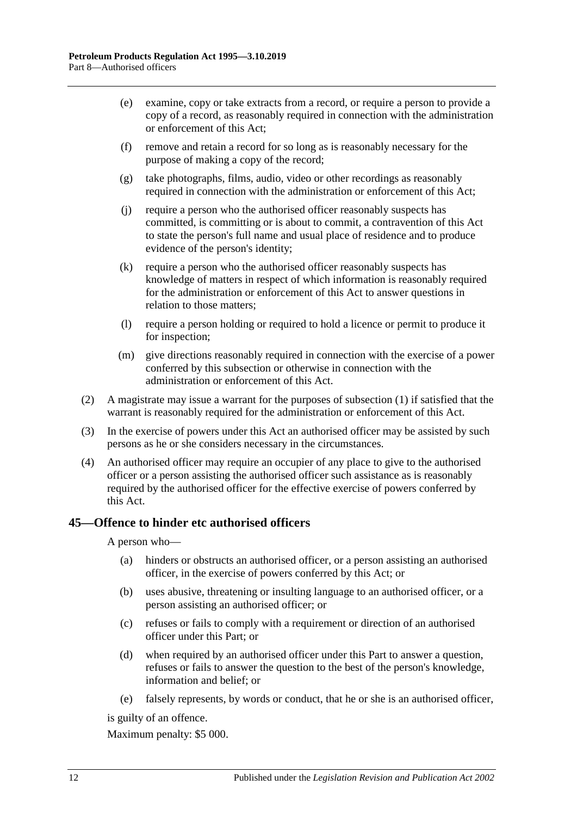- (e) examine, copy or take extracts from a record, or require a person to provide a copy of a record, as reasonably required in connection with the administration or enforcement of this Act;
- (f) remove and retain a record for so long as is reasonably necessary for the purpose of making a copy of the record;
- (g) take photographs, films, audio, video or other recordings as reasonably required in connection with the administration or enforcement of this Act;
- (j) require a person who the authorised officer reasonably suspects has committed, is committing or is about to commit, a contravention of this Act to state the person's full name and usual place of residence and to produce evidence of the person's identity;
- (k) require a person who the authorised officer reasonably suspects has knowledge of matters in respect of which information is reasonably required for the administration or enforcement of this Act to answer questions in relation to those matters;
- (l) require a person holding or required to hold a licence or permit to produce it for inspection;
- (m) give directions reasonably required in connection with the exercise of a power conferred by this subsection or otherwise in connection with the administration or enforcement of this Act.
- (2) A magistrate may issue a warrant for the purposes of [subsection](#page-10-4) (1) if satisfied that the warrant is reasonably required for the administration or enforcement of this Act.
- (3) In the exercise of powers under this Act an authorised officer may be assisted by such persons as he or she considers necessary in the circumstances.
- (4) An authorised officer may require an occupier of any place to give to the authorised officer or a person assisting the authorised officer such assistance as is reasonably required by the authorised officer for the effective exercise of powers conferred by this Act.

# <span id="page-11-0"></span>**45—Offence to hinder etc authorised officers**

A person who—

- (a) hinders or obstructs an authorised officer, or a person assisting an authorised officer, in the exercise of powers conferred by this Act; or
- (b) uses abusive, threatening or insulting language to an authorised officer, or a person assisting an authorised officer; or
- (c) refuses or fails to comply with a requirement or direction of an authorised officer under this Part; or
- (d) when required by an authorised officer under this Part to answer a question, refuses or fails to answer the question to the best of the person's knowledge, information and belief; or
- (e) falsely represents, by words or conduct, that he or she is an authorised officer,

is guilty of an offence.

Maximum penalty: \$5 000.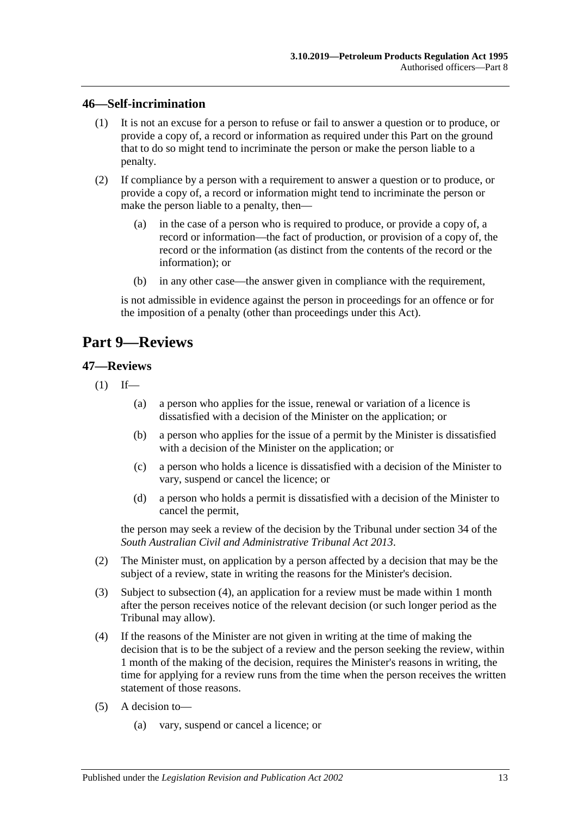#### <span id="page-12-0"></span>**46—Self-incrimination**

- (1) It is not an excuse for a person to refuse or fail to answer a question or to produce, or provide a copy of, a record or information as required under this Part on the ground that to do so might tend to incriminate the person or make the person liable to a penalty.
- (2) If compliance by a person with a requirement to answer a question or to produce, or provide a copy of, a record or information might tend to incriminate the person or make the person liable to a penalty, then—
	- (a) in the case of a person who is required to produce, or provide a copy of, a record or information—the fact of production, or provision of a copy of, the record or the information (as distinct from the contents of the record or the information); or
	- (b) in any other case—the answer given in compliance with the requirement,

is not admissible in evidence against the person in proceedings for an offence or for the imposition of a penalty (other than proceedings under this Act).

# <span id="page-12-1"></span>**Part 9—Reviews**

#### <span id="page-12-2"></span>**47—Reviews**

- $(1)$  If—
	- (a) a person who applies for the issue, renewal or variation of a licence is dissatisfied with a decision of the Minister on the application; or
	- (b) a person who applies for the issue of a permit by the Minister is dissatisfied with a decision of the Minister on the application; or
	- (c) a person who holds a licence is dissatisfied with a decision of the Minister to vary, suspend or cancel the licence; or
	- (d) a person who holds a permit is dissatisfied with a decision of the Minister to cancel the permit,

the person may seek a review of the decision by the Tribunal under section 34 of the *[South Australian Civil and Administrative Tribunal Act](http://www.legislation.sa.gov.au/index.aspx?action=legref&type=act&legtitle=South%20Australian%20Civil%20and%20Administrative%20Tribunal%20Act%202013) 2013*.

- (2) The Minister must, on application by a person affected by a decision that may be the subject of a review, state in writing the reasons for the Minister's decision.
- (3) Subject to [subsection](#page-12-3) (4), an application for a review must be made within 1 month after the person receives notice of the relevant decision (or such longer period as the Tribunal may allow).
- <span id="page-12-3"></span>(4) If the reasons of the Minister are not given in writing at the time of making the decision that is to be the subject of a review and the person seeking the review, within 1 month of the making of the decision, requires the Minister's reasons in writing, the time for applying for a review runs from the time when the person receives the written statement of those reasons.
- (5) A decision to—
	- (a) vary, suspend or cancel a licence; or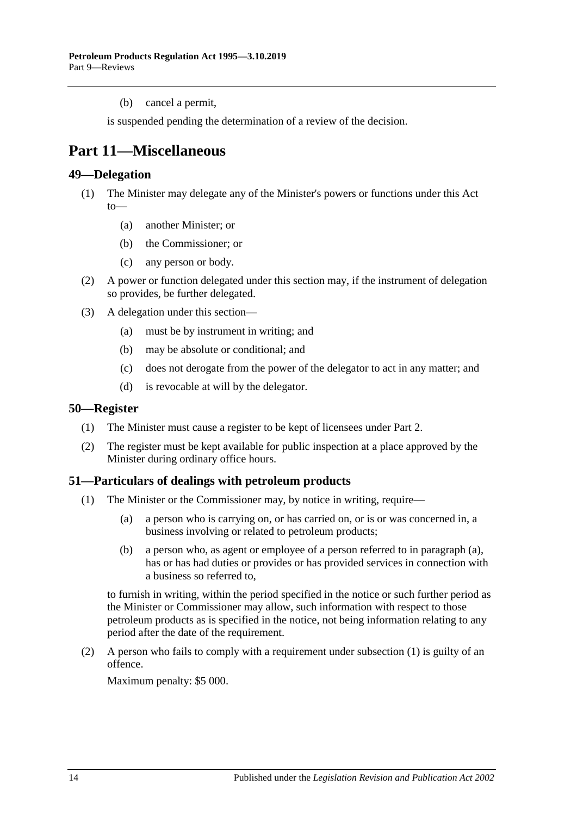(b) cancel a permit,

is suspended pending the determination of a review of the decision.

# <span id="page-13-0"></span>**Part 11—Miscellaneous**

#### <span id="page-13-1"></span>**49—Delegation**

- (1) The Minister may delegate any of the Minister's powers or functions under this Act to—
	- (a) another Minister; or
	- (b) the Commissioner; or
	- (c) any person or body.
- (2) A power or function delegated under this section may, if the instrument of delegation so provides, be further delegated.
- (3) A delegation under this section—
	- (a) must be by instrument in writing; and
	- (b) may be absolute or conditional; and
	- (c) does not derogate from the power of the delegator to act in any matter; and
	- (d) is revocable at will by the delegator.

#### <span id="page-13-2"></span>**50—Register**

- (1) The Minister must cause a register to be kept of licensees under [Part 2.](#page-4-3)
- (2) The register must be kept available for public inspection at a place approved by the Minister during ordinary office hours.

## <span id="page-13-5"></span><span id="page-13-3"></span>**51—Particulars of dealings with petroleum products**

- <span id="page-13-4"></span>(1) The Minister or the Commissioner may, by notice in writing, require—
	- (a) a person who is carrying on, or has carried on, or is or was concerned in, a business involving or related to petroleum products;
	- (b) a person who, as agent or employee of a person referred to in [paragraph](#page-13-4) (a), has or has had duties or provides or has provided services in connection with a business so referred to,

to furnish in writing, within the period specified in the notice or such further period as the Minister or Commissioner may allow, such information with respect to those petroleum products as is specified in the notice, not being information relating to any period after the date of the requirement.

(2) A person who fails to comply with a requirement under [subsection](#page-13-5) (1) is guilty of an offence.

Maximum penalty: \$5 000.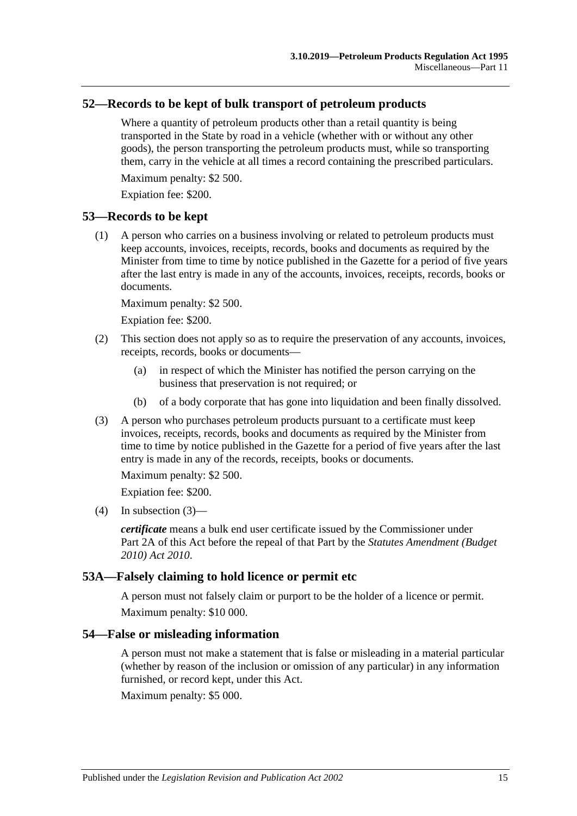### <span id="page-14-0"></span>**52—Records to be kept of bulk transport of petroleum products**

Where a quantity of petroleum products other than a retail quantity is being transported in the State by road in a vehicle (whether with or without any other goods), the person transporting the petroleum products must, while so transporting them, carry in the vehicle at all times a record containing the prescribed particulars.

Maximum penalty: \$2 500.

Expiation fee: \$200.

#### <span id="page-14-1"></span>**53—Records to be kept**

(1) A person who carries on a business involving or related to petroleum products must keep accounts, invoices, receipts, records, books and documents as required by the Minister from time to time by notice published in the Gazette for a period of five years after the last entry is made in any of the accounts, invoices, receipts, records, books or documents.

Maximum penalty: \$2 500.

Expiation fee: \$200.

- (2) This section does not apply so as to require the preservation of any accounts, invoices, receipts, records, books or documents—
	- (a) in respect of which the Minister has notified the person carrying on the business that preservation is not required; or
	- (b) of a body corporate that has gone into liquidation and been finally dissolved.
- (3) A person who purchases petroleum products pursuant to a certificate must keep invoices, receipts, records, books and documents as required by the Minister from time to time by notice published in the Gazette for a period of five years after the last entry is made in any of the records, receipts, books or documents.

Maximum penalty: \$2 500. Expiation fee: \$200.

 $(4)$  In subsection  $(3)$ —

*certificate* means a bulk end user certificate issued by the Commissioner under Part 2A of this Act before the repeal of that Part by the *[Statutes Amendment \(Budget](http://www.legislation.sa.gov.au/index.aspx?action=legref&type=act&legtitle=Statutes%20Amendment%20(Budget%202010)%20Act%202010)  [2010\) Act 2010](http://www.legislation.sa.gov.au/index.aspx?action=legref&type=act&legtitle=Statutes%20Amendment%20(Budget%202010)%20Act%202010)*.

#### <span id="page-14-2"></span>**53A—Falsely claiming to hold licence or permit etc**

A person must not falsely claim or purport to be the holder of a licence or permit. Maximum penalty: \$10 000.

#### <span id="page-14-3"></span>**54—False or misleading information**

A person must not make a statement that is false or misleading in a material particular (whether by reason of the inclusion or omission of any particular) in any information furnished, or record kept, under this Act.

Maximum penalty: \$5 000.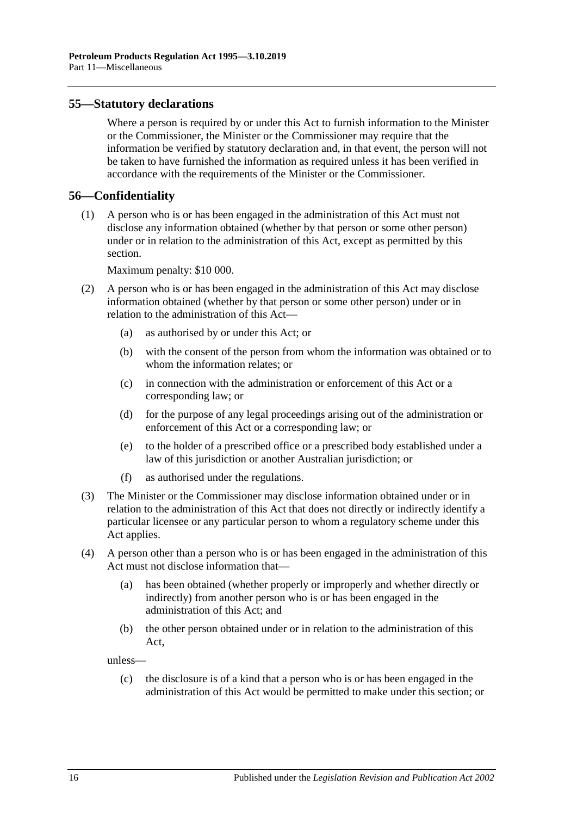### <span id="page-15-0"></span>**55—Statutory declarations**

Where a person is required by or under this Act to furnish information to the Minister or the Commissioner, the Minister or the Commissioner may require that the information be verified by statutory declaration and, in that event, the person will not be taken to have furnished the information as required unless it has been verified in accordance with the requirements of the Minister or the Commissioner.

#### <span id="page-15-1"></span>**56—Confidentiality**

(1) A person who is or has been engaged in the administration of this Act must not disclose any information obtained (whether by that person or some other person) under or in relation to the administration of this Act, except as permitted by this section.

Maximum penalty: \$10 000.

- (2) A person who is or has been engaged in the administration of this Act may disclose information obtained (whether by that person or some other person) under or in relation to the administration of this Act—
	- (a) as authorised by or under this Act; or
	- (b) with the consent of the person from whom the information was obtained or to whom the information relates; or
	- (c) in connection with the administration or enforcement of this Act or a corresponding law; or
	- (d) for the purpose of any legal proceedings arising out of the administration or enforcement of this Act or a corresponding law; or
	- (e) to the holder of a prescribed office or a prescribed body established under a law of this jurisdiction or another Australian jurisdiction; or
	- (f) as authorised under the regulations.
- (3) The Minister or the Commissioner may disclose information obtained under or in relation to the administration of this Act that does not directly or indirectly identify a particular licensee or any particular person to whom a regulatory scheme under this Act applies.
- (4) A person other than a person who is or has been engaged in the administration of this Act must not disclose information that—
	- (a) has been obtained (whether properly or improperly and whether directly or indirectly) from another person who is or has been engaged in the administration of this Act; and
	- (b) the other person obtained under or in relation to the administration of this Act,

unless—

(c) the disclosure is of a kind that a person who is or has been engaged in the administration of this Act would be permitted to make under this section; or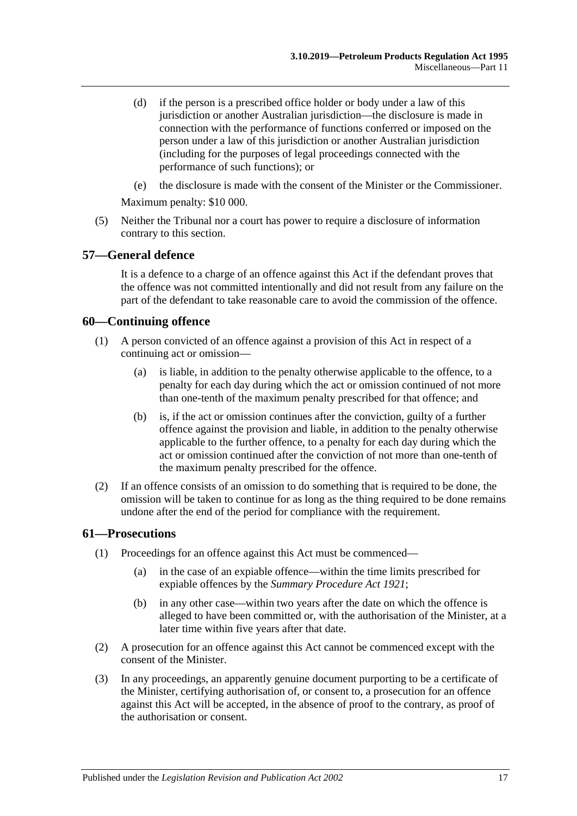- (d) if the person is a prescribed office holder or body under a law of this jurisdiction or another Australian jurisdiction—the disclosure is made in connection with the performance of functions conferred or imposed on the person under a law of this jurisdiction or another Australian jurisdiction (including for the purposes of legal proceedings connected with the performance of such functions); or
- (e) the disclosure is made with the consent of the Minister or the Commissioner.

Maximum penalty: \$10 000.

(5) Neither the Tribunal nor a court has power to require a disclosure of information contrary to this section.

#### <span id="page-16-0"></span>**57—General defence**

It is a defence to a charge of an offence against this Act if the defendant proves that the offence was not committed intentionally and did not result from any failure on the part of the defendant to take reasonable care to avoid the commission of the offence.

#### <span id="page-16-1"></span>**60—Continuing offence**

- (1) A person convicted of an offence against a provision of this Act in respect of a continuing act or omission—
	- (a) is liable, in addition to the penalty otherwise applicable to the offence, to a penalty for each day during which the act or omission continued of not more than one-tenth of the maximum penalty prescribed for that offence; and
	- (b) is, if the act or omission continues after the conviction, guilty of a further offence against the provision and liable, in addition to the penalty otherwise applicable to the further offence, to a penalty for each day during which the act or omission continued after the conviction of not more than one-tenth of the maximum penalty prescribed for the offence.
- (2) If an offence consists of an omission to do something that is required to be done, the omission will be taken to continue for as long as the thing required to be done remains undone after the end of the period for compliance with the requirement.

#### <span id="page-16-2"></span>**61—Prosecutions**

- (1) Proceedings for an offence against this Act must be commenced—
	- (a) in the case of an expiable offence—within the time limits prescribed for expiable offences by the *[Summary Procedure Act](http://www.legislation.sa.gov.au/index.aspx?action=legref&type=act&legtitle=Summary%20Procedure%20Act%201921) 1921*;
	- (b) in any other case—within two years after the date on which the offence is alleged to have been committed or, with the authorisation of the Minister, at a later time within five years after that date.
- (2) A prosecution for an offence against this Act cannot be commenced except with the consent of the Minister.
- (3) In any proceedings, an apparently genuine document purporting to be a certificate of the Minister, certifying authorisation of, or consent to, a prosecution for an offence against this Act will be accepted, in the absence of proof to the contrary, as proof of the authorisation or consent.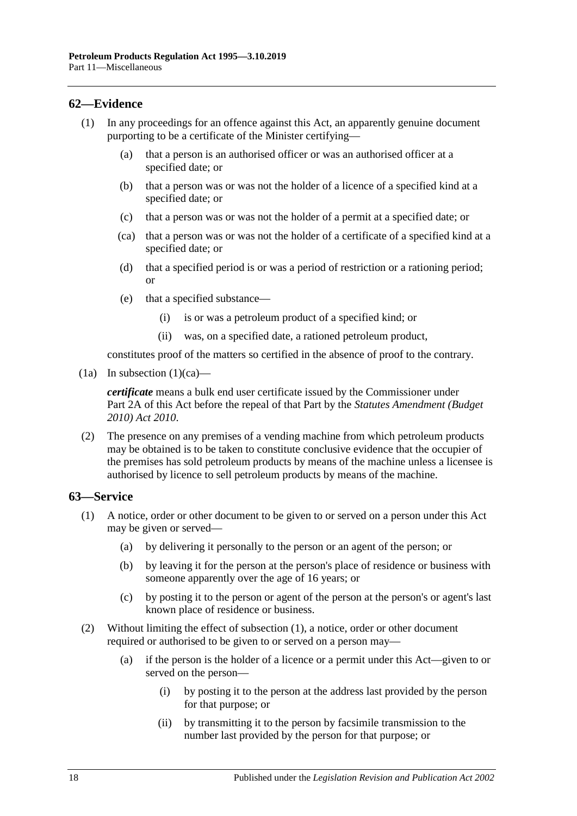# <span id="page-17-0"></span>**62—Evidence**

- <span id="page-17-2"></span>(1) In any proceedings for an offence against this Act, an apparently genuine document purporting to be a certificate of the Minister certifying—
	- (a) that a person is an authorised officer or was an authorised officer at a specified date; or
	- (b) that a person was or was not the holder of a licence of a specified kind at a specified date; or
	- (c) that a person was or was not the holder of a permit at a specified date; or
	- (ca) that a person was or was not the holder of a certificate of a specified kind at a specified date; or
	- (d) that a specified period is or was a period of restriction or a rationing period; or
	- (e) that a specified substance—
		- (i) is or was a petroleum product of a specified kind; or
		- (ii) was, on a specified date, a rationed petroleum product,

constitutes proof of the matters so certified in the absence of proof to the contrary.

(1a) In [subsection](#page-17-2)  $(1)(ca)$ —

*certificate* means a bulk end user certificate issued by the Commissioner under Part 2A of this Act before the repeal of that Part by the *[Statutes Amendment \(Budget](http://www.legislation.sa.gov.au/index.aspx?action=legref&type=act&legtitle=Statutes%20Amendment%20(Budget%202010)%20Act%202010)  [2010\) Act 2010](http://www.legislation.sa.gov.au/index.aspx?action=legref&type=act&legtitle=Statutes%20Amendment%20(Budget%202010)%20Act%202010)*.

(2) The presence on any premises of a vending machine from which petroleum products may be obtained is to be taken to constitute conclusive evidence that the occupier of the premises has sold petroleum products by means of the machine unless a licensee is authorised by licence to sell petroleum products by means of the machine.

## <span id="page-17-3"></span><span id="page-17-1"></span>**63—Service**

- (1) A notice, order or other document to be given to or served on a person under this Act may be given or served—
	- (a) by delivering it personally to the person or an agent of the person; or
	- (b) by leaving it for the person at the person's place of residence or business with someone apparently over the age of 16 years; or
	- (c) by posting it to the person or agent of the person at the person's or agent's last known place of residence or business.
- (2) Without limiting the effect of [subsection](#page-17-3) (1), a notice, order or other document required or authorised to be given to or served on a person may—
	- (a) if the person is the holder of a licence or a permit under this Act—given to or served on the person—
		- (i) by posting it to the person at the address last provided by the person for that purpose; or
		- (ii) by transmitting it to the person by facsimile transmission to the number last provided by the person for that purpose; or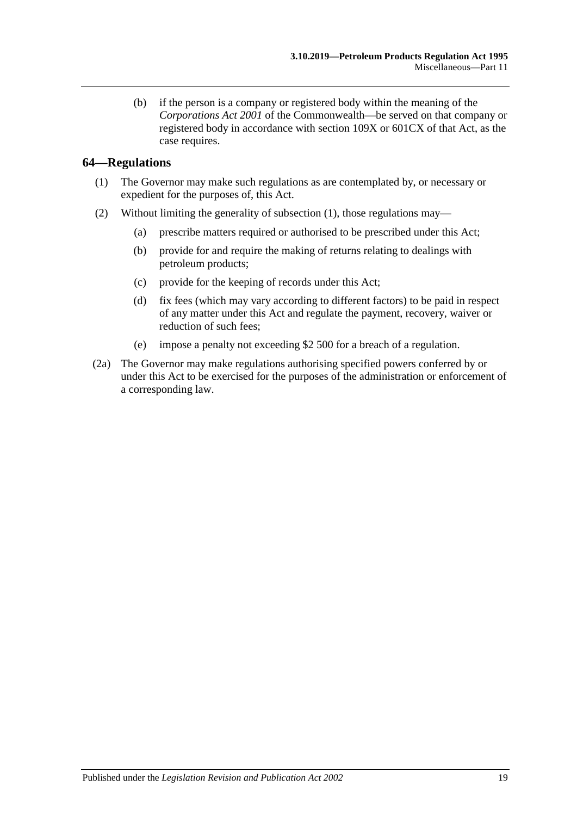(b) if the person is a company or registered body within the meaning of the *Corporations Act 2001* of the Commonwealth—be served on that company or registered body in accordance with section 109X or 601CX of that Act, as the case requires.

# <span id="page-18-1"></span><span id="page-18-0"></span>**64—Regulations**

- (1) The Governor may make such regulations as are contemplated by, or necessary or expedient for the purposes of, this Act.
- (2) Without limiting the generality of [subsection](#page-18-1) (1), those regulations may—
	- (a) prescribe matters required or authorised to be prescribed under this Act;
	- (b) provide for and require the making of returns relating to dealings with petroleum products;
	- (c) provide for the keeping of records under this Act;
	- (d) fix fees (which may vary according to different factors) to be paid in respect of any matter under this Act and regulate the payment, recovery, waiver or reduction of such fees;
	- (e) impose a penalty not exceeding \$2 500 for a breach of a regulation.
- (2a) The Governor may make regulations authorising specified powers conferred by or under this Act to be exercised for the purposes of the administration or enforcement of a corresponding law.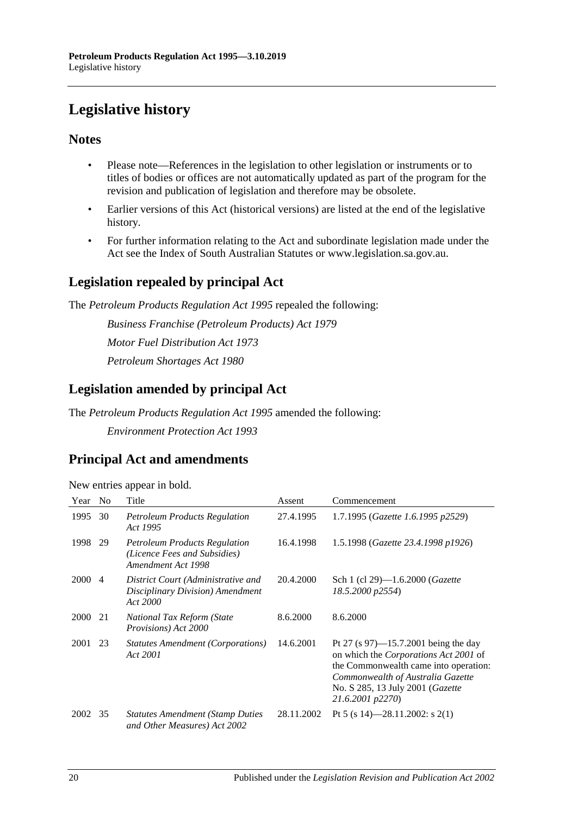# <span id="page-19-0"></span>**Legislative history**

# **Notes**

- Please note—References in the legislation to other legislation or instruments or to titles of bodies or offices are not automatically updated as part of the program for the revision and publication of legislation and therefore may be obsolete.
- Earlier versions of this Act (historical versions) are listed at the end of the legislative history.
- For further information relating to the Act and subordinate legislation made under the Act see the Index of South Australian Statutes or www.legislation.sa.gov.au.

# **Legislation repealed by principal Act**

The *Petroleum Products Regulation Act 1995* repealed the following:

*Business Franchise (Petroleum Products) Act 1979 Motor Fuel Distribution Act 1973 Petroleum Shortages Act 1980*

# **Legislation amended by principal Act**

The *Petroleum Products Regulation Act 1995* amended the following: *Environment Protection Act 1993*

# **Principal Act and amendments**

| New entries appear in bold. |  |  |
|-----------------------------|--|--|
|                             |  |  |

| Year        | N <sub>o</sub> | Title                                                                                      | Assent     | Commencement                                                                                                                                                                                                                |
|-------------|----------------|--------------------------------------------------------------------------------------------|------------|-----------------------------------------------------------------------------------------------------------------------------------------------------------------------------------------------------------------------------|
| 1995        | 30             | <b>Petroleum Products Regulation</b><br>Act 1995                                           | 27.4.1995  | 1.7.1995 (Gazette 1.6.1995 p2529)                                                                                                                                                                                           |
| 1998        | 29             | <b>Petroleum Products Regulation</b><br>(Licence Fees and Subsidies)<br>Amendment Act 1998 | 16.4.1998  | 1.5.1998 (Gazette 23.4.1998 p1926)                                                                                                                                                                                          |
| <b>2000</b> | 4              | District Court (Administrative and<br>Disciplinary Division) Amendment<br>Act 2000         | 20.4.2000  | Sch 1 (cl 29)—1.6.2000 ( <i>Gazette</i><br>18.5.2000 p2554)                                                                                                                                                                 |
| 2000        | 21             | National Tax Reform (State<br>Provisions) Act 2000                                         | 8.6.2000   | 8.6.2000                                                                                                                                                                                                                    |
| 2001        | 23             | <i>Statutes Amendment (Corporations)</i><br>Act 2001                                       | 14.6.2001  | Pt 27 (s 97)—15.7.2001 being the day<br>on which the Corporations Act 2001 of<br>the Commonwealth came into operation:<br>Commonwealth of Australia Gazette<br>No. S 285, 13 July 2001 ( <i>Gazette</i><br>21.6.2001 p2270) |
| 2002        | 35             | <b>Statutes Amendment (Stamp Duties)</b><br>and Other Measures) Act 2002                   | 28.11.2002 | Pt 5 (s 14)-28.11.2002: s 2(1)                                                                                                                                                                                              |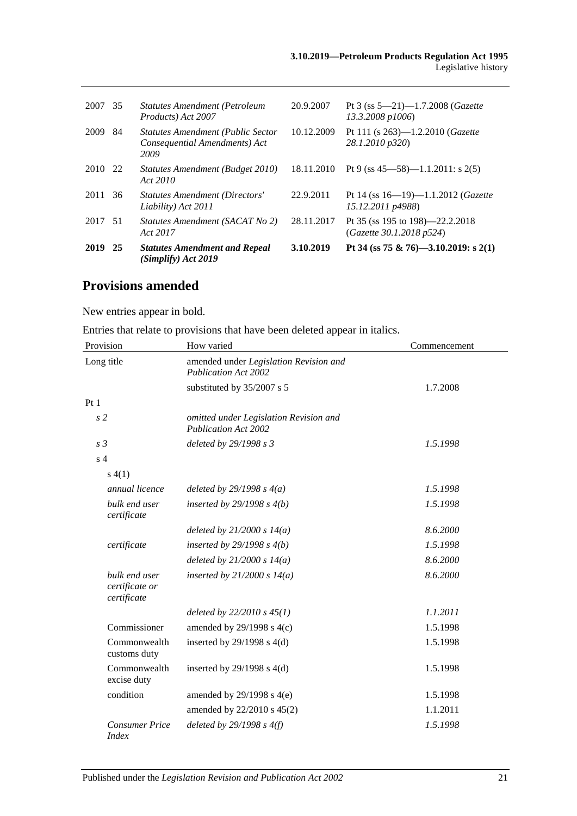| 2007    | 35  | <b>Statutes Amendment (Petroleum</b><br>Products) Act 2007                        | 20.9.2007  | Pt 3 (ss $5-21$ )-1.7.2008 ( <i>Gazette</i><br>13.3.2008 p1006) |
|---------|-----|-----------------------------------------------------------------------------------|------------|-----------------------------------------------------------------|
| 2009    | 84  | <b>Statutes Amendment (Public Sector</b><br>Consequential Amendments) Act<br>2009 | 10.12.2009 | Pt 111 (s $263$ )—1.2.2010 ( <i>Gazette</i><br>28.1.2010 p320)  |
| 2010 22 |     | Statutes Amendment (Budget 2010)<br>Act 2010                                      | 18.11.2010 | Pt 9 (ss $45 - 58$ ) $-1.1.2011$ : s $2(5)$                     |
| 2011    | 36  | <b>Statutes Amendment (Directors'</b><br>Liability) Act 2011                      | 22.9.2011  | Pt 14 (ss $16-19-1.1.2012$ (Gazette<br>15.12.2011 p4988)        |
| 2017    | -51 | Statutes Amendment (SACAT No 2)<br>Act 2017                                       | 28.11.2017 | Pt 35 (ss 195 to 198)—22.2.2018<br>(Gazette 30.1.2018 p524)     |
| 2019    | 25  | <b>Statutes Amendment and Repeal</b><br>(Simplify) Act 2019                       | 3.10.2019  | Pt 34 (ss 75 & 76)-3.10.2019: s 2(1)                            |

# **Provisions amended**

New entries appear in bold.

Entries that relate to provisions that have been deleted appear in italics.

| Provision                                      | How varied                                                            | Commencement |
|------------------------------------------------|-----------------------------------------------------------------------|--------------|
| Long title                                     | amended under Legislation Revision and<br><b>Publication Act 2002</b> |              |
|                                                | substituted by 35/2007 s 5                                            | 1.7.2008     |
| Pt1                                            |                                                                       |              |
| s <sub>2</sub>                                 | omitted under Legislation Revision and<br><b>Publication Act 2002</b> |              |
| s <sub>3</sub>                                 | deleted by 29/1998 s 3                                                | 1.5.1998     |
| s <sub>4</sub>                                 |                                                                       |              |
| s(4(1))                                        |                                                                       |              |
| annual licence                                 | deleted by $29/1998 s 4(a)$                                           | 1.5.1998     |
| bulk end user<br>certificate                   | inserted by $29/1998 s 4(b)$                                          | 1.5.1998     |
|                                                | deleted by $21/2000 s 14(a)$                                          | 8.6.2000     |
| certificate                                    | inserted by $29/1998 s 4(b)$                                          | 1.5.1998     |
|                                                | deleted by $21/2000 s 14(a)$                                          | 8.6.2000     |
| bulk end user<br>certificate or<br>certificate | inserted by $21/2000 s 14(a)$                                         | 8.6.2000     |
|                                                | deleted by $22/2010 s 45(1)$                                          | 1.1.2011     |
| Commissioner                                   | amended by $29/1998$ s $4(c)$                                         | 1.5.1998     |
| Commonwealth<br>customs duty                   | inserted by $29/1998$ s $4(d)$                                        | 1.5.1998     |
| Commonwealth<br>excise duty                    | inserted by $29/1998$ s $4(d)$                                        | 1.5.1998     |
| condition                                      | amended by $29/1998$ s $4(e)$                                         | 1.5.1998     |
|                                                | amended by 22/2010 s 45(2)                                            | 1.1.2011     |
| <b>Consumer Price</b><br><i>Index</i>          | deleted by $29/1998 s 4(f)$                                           | 1.5.1998     |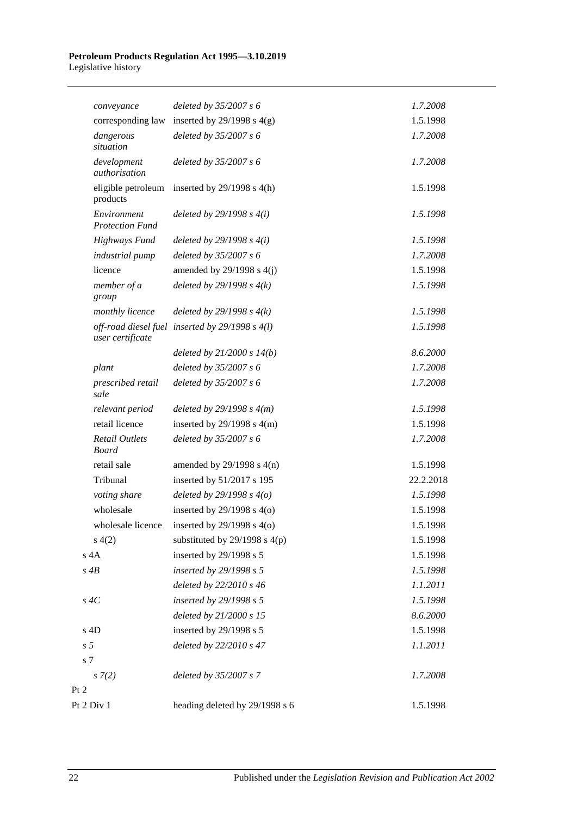#### **Petroleum Products Regulation Act 1995—3.10.2019** Legislative history

| conveyance                            | deleted by $35/2007 s 6$                          | 1.7.2008  |
|---------------------------------------|---------------------------------------------------|-----------|
| corresponding law                     | inserted by $29/1998$ s $4(g)$                    | 1.5.1998  |
| dangerous<br>situation                | deleted by 35/2007 s 6                            | 1.7.2008  |
| development<br>authorisation          | deleted by 35/2007 s 6                            | 1.7.2008  |
| eligible petroleum<br>products        | inserted by $29/1998$ s $4(h)$                    | 1.5.1998  |
| Environment<br><b>Protection Fund</b> | deleted by $29/1998 s 4(i)$                       | 1.5.1998  |
| <b>Highways Fund</b>                  | deleted by $29/1998 s 4(i)$                       | 1.5.1998  |
| industrial pump                       | deleted by $35/2007 s 6$                          | 1.7.2008  |
| licence                               | amended by $29/1998$ s $4(j)$                     | 1.5.1998  |
| member of a<br>group                  | deleted by $29/1998 s 4(k)$                       | 1.5.1998  |
| monthly licence                       | deleted by $29/1998 s 4(k)$                       | 1.5.1998  |
| user certificate                      | off-road diesel fuel inserted by $29/1998 s 4(l)$ | 1.5.1998  |
|                                       | deleted by $21/2000 s 14(b)$                      | 8.6.2000  |
| plant                                 | deleted by 35/2007 s 6                            | 1.7.2008  |
| prescribed retail<br>sale             | deleted by $35/2007 s 6$                          | 1.7.2008  |
| relevant period                       | deleted by $29/1998 s 4(m)$                       | 1.5.1998  |
| retail licence                        | inserted by $29/1998$ s $4(m)$                    | 1.5.1998  |
| <b>Retail Outlets</b><br><b>Board</b> | deleted by 35/2007 s 6                            | 1.7.2008  |
| retail sale                           | amended by $29/1998$ s $4(n)$                     | 1.5.1998  |
| Tribunal                              | inserted by 51/2017 s 195                         | 22.2.2018 |
| voting share                          | deleted by $29/1998 s 4(o)$                       | 1.5.1998  |
| wholesale                             | inserted by $29/1998$ s $4(0)$                    | 1.5.1998  |
| wholesale licence                     | inserted by 29/1998 s 4(o)                        | 1.5.1998  |
| s(4(2)                                | substituted by $29/1998$ s $4(p)$                 | 1.5.1998  |
| $s$ 4A                                | inserted by 29/1998 s 5                           | 1.5.1998  |
| $s$ 4 $B$                             | inserted by $29/1998 s 5$                         | 1.5.1998  |
|                                       | deleted by 22/2010 s 46                           | 1.1.2011  |
| $s \, 4C$                             | inserted by 29/1998 s 5                           | 1.5.1998  |
|                                       | deleted by 21/2000 s 15                           | 8.6.2000  |
| s 4D                                  | inserted by 29/1998 s 5                           | 1.5.1998  |
| s <sub>5</sub>                        | deleted by 22/2010 s 47                           | 1.1.2011  |
| s 7                                   |                                                   |           |
| s(7(2)                                | deleted by 35/2007 s 7                            | 1.7.2008  |
| Pt 2                                  |                                                   |           |
| Pt 2 Div 1                            | heading deleted by 29/1998 s 6                    | 1.5.1998  |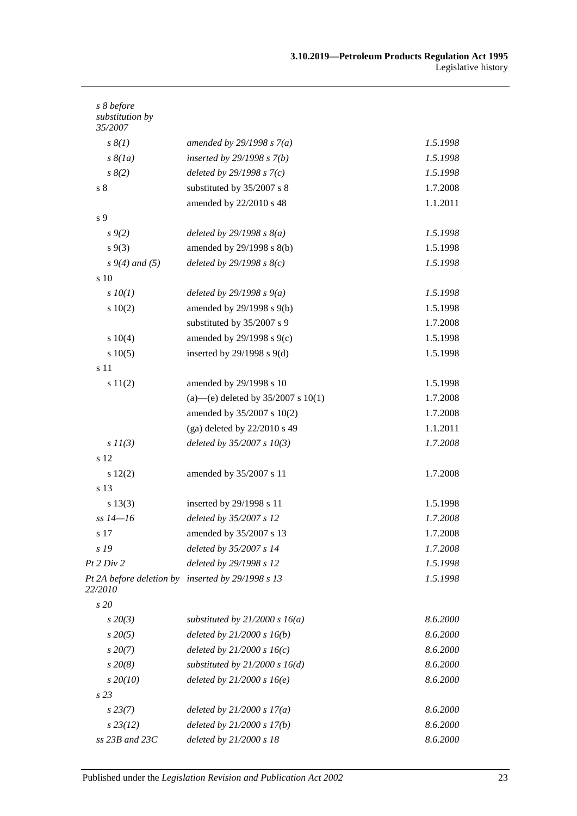| s 8 before<br>substitution by<br>35/2007 |                                                   |          |
|------------------------------------------|---------------------------------------------------|----------|
| $s \, \mathcal{S}(1)$                    | amended by $29/1998 s 7(a)$                       | 1.5.1998 |
| $s \& (1a)$                              | inserted by $29/1998 s 7(b)$                      | 1.5.1998 |
| $s \, 8(2)$                              | deleted by $29/1998 s 7(c)$                       | 1.5.1998 |
| $s8$                                     | substituted by 35/2007 s 8                        | 1.7.2008 |
|                                          | amended by 22/2010 s 48                           | 1.1.2011 |
| s 9                                      |                                                   |          |
| $s \, 9(2)$                              | deleted by $29/1998 s 8(a)$                       | 1.5.1998 |
| $s \, 9(3)$                              | amended by 29/1998 s 8(b)                         | 1.5.1998 |
| $s\,9(4)$ and (5)                        | deleted by $29/1998 s 8(c)$                       | 1.5.1998 |
| s 10                                     |                                                   |          |
| $s$ $10(1)$                              | deleted by $29/1998 s 9(a)$                       | 1.5.1998 |
| 10(2)                                    | amended by 29/1998 s 9(b)                         | 1.5.1998 |
|                                          | substituted by 35/2007 s 9                        | 1.7.2008 |
| s 10(4)                                  | amended by 29/1998 s 9(c)                         | 1.5.1998 |
| s 10(5)                                  | inserted by $29/1998$ s $9(d)$                    | 1.5.1998 |
| s 11                                     |                                                   |          |
| s 11(2)                                  | amended by 29/1998 s 10                           | 1.5.1998 |
|                                          | (a)—(e) deleted by $35/2007$ s $10(1)$            | 1.7.2008 |
|                                          | amended by 35/2007 s 10(2)                        | 1.7.2008 |
|                                          | (ga) deleted by $22/2010$ s 49                    | 1.1.2011 |
| $s\,II(3)$                               | deleted by $35/2007 s 10(3)$                      | 1.7.2008 |
| s 12                                     |                                                   |          |
| s 12(2)                                  | amended by 35/2007 s 11                           | 1.7.2008 |
| s 13                                     |                                                   |          |
| s 13(3)                                  | inserted by 29/1998 s 11                          | 1.5.1998 |
| $ss 14 - 16$                             | deleted by 35/2007 s 12                           | 1.7.2008 |
| s 17                                     | amended by 35/2007 s 13                           | 1.7.2008 |
| s 19                                     | deleted by 35/2007 s 14                           | 1.7.2008 |
| Pt 2 Div 2                               | deleted by 29/1998 s 12                           | 1.5.1998 |
| 22/2010                                  | Pt 2A before deletion by inserted by 29/1998 s 13 | 1.5.1998 |
| s 20                                     |                                                   |          |
| $s\,20(3)$                               | substituted by $21/2000 s 16(a)$                  | 8.6.2000 |
| $s\,20(5)$                               | deleted by $21/2000 s 16(b)$                      | 8.6.2000 |
| $s\,20(7)$                               | deleted by $21/2000 s 16(c)$                      | 8.6.2000 |
| $s\,20(8)$                               | substituted by $21/2000 s 16(d)$                  | 8.6.2000 |
| $s\,20(10)$                              | deleted by $21/2000 s 16(e)$                      | 8.6.2000 |
| s23                                      |                                                   |          |
| $s\,23(7)$                               | deleted by $21/2000 s 17(a)$                      | 8.6.2000 |
| $s\,23(12)$                              | deleted by $21/2000 s 17(b)$                      | 8.6.2000 |
| ss 23B and 23C                           | deleted by 21/2000 s 18                           | 8.6.2000 |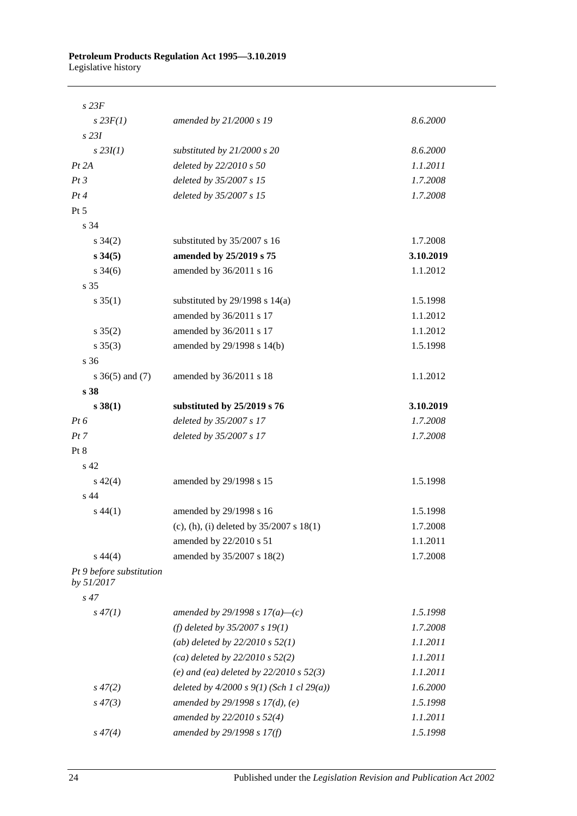#### **Petroleum Products Regulation Act 1995—3.10.2019** Legislative history

| $s$ 23 $F$                             |                                              |           |
|----------------------------------------|----------------------------------------------|-----------|
| $s$ 23 $F(1)$                          | amended by 21/2000 s 19                      | 8.6.2000  |
| $s$ 231                                |                                              |           |
| $s$ 23 $I(1)$                          | substituted by $21/2000 s 20$                | 8.6.2000  |
| Pt 2A                                  | deleted by 22/2010 s 50                      | 1.1.2011  |
| Pt3                                    | deleted by 35/2007 s 15                      | 1.7.2008  |
| Pt4                                    | deleted by 35/2007 s 15                      | 1.7.2008  |
| Pt 5                                   |                                              |           |
| s 34                                   |                                              |           |
| $s \frac{34(2)}{2}$                    | substituted by 35/2007 s 16                  | 1.7.2008  |
| $s\,34(5)$                             | amended by 25/2019 s 75                      | 3.10.2019 |
| $s \frac{34(6)}{2}$                    | amended by 36/2011 s 16                      | 1.1.2012  |
| s 35                                   |                                              |           |
| $s \, 35(1)$                           | substituted by $29/1998$ s $14(a)$           | 1.5.1998  |
|                                        | amended by 36/2011 s 17                      | 1.1.2012  |
| $s \, 35(2)$                           | amended by 36/2011 s 17                      | 1.1.2012  |
| $s \, 35(3)$                           | amended by 29/1998 s 14(b)                   | 1.5.1998  |
| s <sub>36</sub>                        |                                              |           |
| $s \; 36(5)$ and (7)                   | amended by 36/2011 s 18                      | 1.1.2012  |
| s <sub>38</sub>                        |                                              |           |
| $s\,38(1)$                             | substituted by 25/2019 s 76                  | 3.10.2019 |
| $Pt\,6$                                | deleted by 35/2007 s 17                      | 1.7.2008  |
| Pt 7                                   | deleted by 35/2007 s 17                      | 1.7.2008  |
| Pt 8                                   |                                              |           |
| s 42                                   |                                              |           |
| $s\,42(4)$                             | amended by 29/1998 s 15                      | 1.5.1998  |
| s 44                                   |                                              |           |
| $s\,44(1)$                             | amended by 29/1998 s 16                      | 1.5.1998  |
|                                        | (c), (h), (i) deleted by $35/2007$ s $18(1)$ | 1.7.2008  |
|                                        | amended by 22/2010 s 51                      | 1.1.2011  |
| $s\,44(4)$                             | amended by 35/2007 s 18(2)                   | 1.7.2008  |
| Pt 9 before substitution<br>by 51/2017 |                                              |           |
| $s\,47$                                |                                              |           |
| $s\,47(1)$                             | amended by 29/1998 s $17(a)$ —(c)            | 1.5.1998  |
|                                        | (f) deleted by $35/2007 s 19(1)$             | 1.7.2008  |
|                                        | (ab) deleted by $22/2010 s 52(1)$            | 1.1.2011  |
|                                        | (ca) deleted by $22/2010 s 52(2)$            | 1.1.2011  |
|                                        | (e) and (ea) deleted by $22/2010 s 52(3)$    | 1.1.2011  |
| $s\,47(2)$                             | deleted by $4/2000 s 9(1)$ (Sch 1 cl 29(a))  | 1.6.2000  |
| $s\,47(3)$                             | amended by 29/1998 s 17(d), (e)              | 1.5.1998  |
|                                        | amended by 22/2010 s 52(4)                   | 1.1.2011  |
| $s\,47(4)$                             | amended by 29/1998 s 17(f)                   | 1.5.1998  |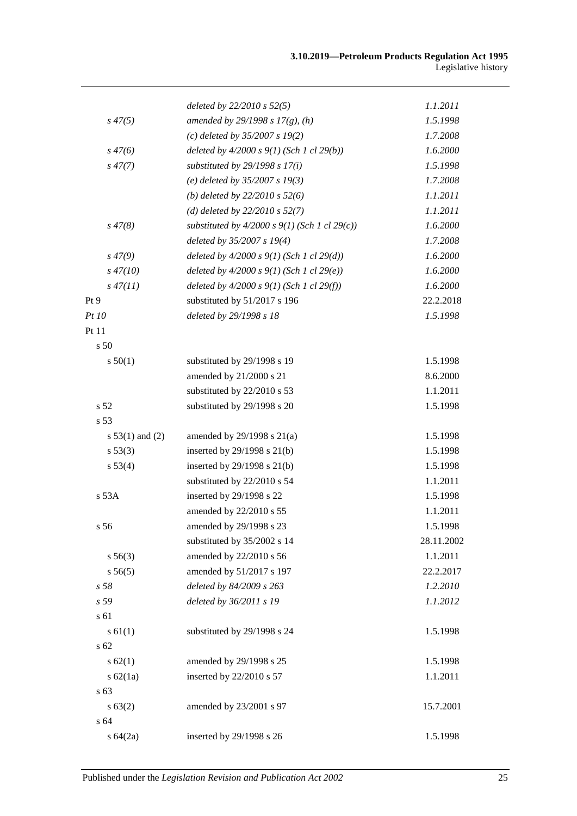|                   | deleted by $22/2010$ s $52(5)$                  | 1.1.2011   |
|-------------------|-------------------------------------------------|------------|
| $s\,47(5)$        | amended by 29/1998 s 17(g), (h)                 | 1.5.1998   |
|                   | (c) deleted by $35/2007 s 19(2)$                | 1.7.2008   |
| $s\,47(6)$        | deleted by $4/2000 s 9(1)$ (Sch 1 cl 29(b))     | 1.6.2000   |
| $s\,47(7)$        | substituted by $29/1998 s 17(i)$                | 1.5.1998   |
|                   | (e) deleted by $35/2007 s 19(3)$                | 1.7.2008   |
|                   | (b) deleted by $22/2010 s 52(6)$                | 1.1.2011   |
|                   | (d) deleted by $22/2010 s 52(7)$                | 1.1.2011   |
| $s\,47(8)$        | substituted by $4/2000 s 9(1)$ (Sch 1 cl 29(c)) | 1.6.2000   |
|                   | deleted by 35/2007 s 19(4)                      | 1.7.2008   |
| $s\,47(9)$        | deleted by $4/2000 s 9(1)$ (Sch 1 cl 29(d))     | 1.6.2000   |
| $s\,47(10)$       | deleted by $4/2000 s 9(1)$ (Sch 1 cl 29(e))     | 1.6.2000   |
| $s\,47(11)$       | deleted by $4/2000 s 9(1)$ (Sch 1 cl 29(f))     | 1.6.2000   |
| Pt 9              | substituted by 51/2017 s 196                    | 22.2.2018  |
| Pt 10             | deleted by 29/1998 s 18                         | 1.5.1998   |
| Pt 11             |                                                 |            |
| s 50              |                                                 |            |
| s 50(1)           | substituted by 29/1998 s 19                     | 1.5.1998   |
|                   | amended by 21/2000 s 21                         | 8.6.2000   |
|                   | substituted by 22/2010 s 53                     | 1.1.2011   |
| s 52              | substituted by 29/1998 s 20                     | 1.5.1998   |
| s 53              |                                                 |            |
| s $53(1)$ and (2) | amended by $29/1998$ s $21(a)$                  | 1.5.1998   |
| s 53(3)           | inserted by 29/1998 s 21(b)                     | 1.5.1998   |
| s 53(4)           | inserted by $29/1998$ s $21(b)$                 | 1.5.1998   |
|                   | substituted by 22/2010 s 54                     | 1.1.2011   |
| s 53A             | inserted by 29/1998 s 22                        | 1.5.1998   |
|                   | amended by 22/2010 s 55                         | 1.1.2011   |
| s 56              | amended by 29/1998 s 23                         | 1.5.1998   |
|                   | substituted by 35/2002 s 14                     | 28.11.2002 |
| s 56(3)           | amended by 22/2010 s 56                         | 1.1.2011   |
| s 56(5)           | amended by 51/2017 s 197                        | 22.2.2017  |
| s <sub>58</sub>   | deleted by 84/2009 s 263                        | 1.2.2010   |
| s 59              | deleted by 36/2011 s 19                         | 1.1.2012   |
| s 61              |                                                 |            |
| s 61(1)           | substituted by 29/1998 s 24                     | 1.5.1998   |
| s 62              |                                                 |            |
| s 62(1)           | amended by 29/1998 s 25                         | 1.5.1998   |
| s $62(1a)$        | inserted by 22/2010 s 57                        | 1.1.2011   |
| s 63              |                                                 |            |
| s 63(2)           | amended by 23/2001 s 97                         | 15.7.2001  |
| s 64              |                                                 |            |
| s 64(2a)          | inserted by 29/1998 s 26                        | 1.5.1998   |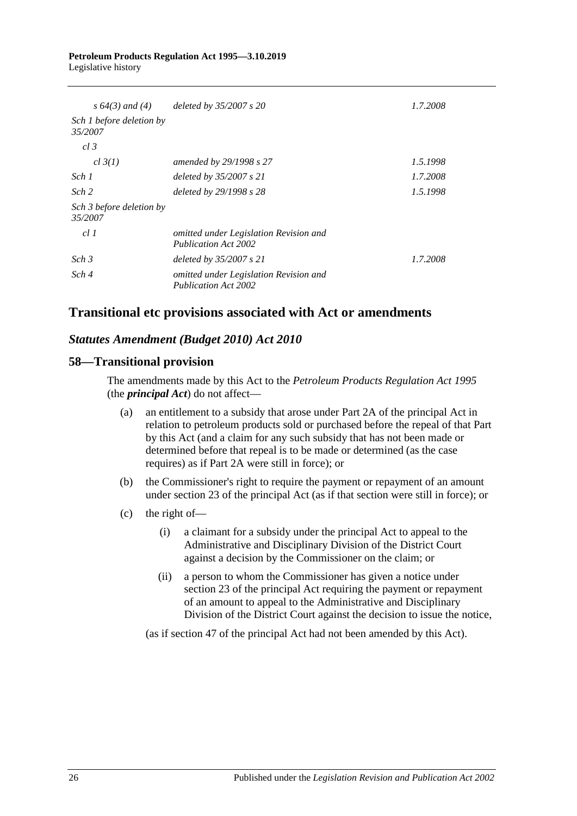#### **Petroleum Products Regulation Act 1995—3.10.2019** Legislative history

| s $64(3)$ and $(4)$                 | deleted by 35/2007 s 20                                               | 1.7.2008 |
|-------------------------------------|-----------------------------------------------------------------------|----------|
| Sch 1 before deletion by<br>35/2007 |                                                                       |          |
| cl.3                                |                                                                       |          |
| cl 3(1)                             | amended by 29/1998 s 27                                               | 1.5.1998 |
| Sch 1                               | deleted by $35/2007 s 21$                                             | 1.7.2008 |
| Sch <sub>2</sub>                    | deleted by 29/1998 s 28                                               | 1.5.1998 |
| Sch 3 before deletion by<br>35/2007 |                                                                       |          |
| cl1                                 | omitted under Legislation Revision and<br>Publication Act 2002        |          |
| Sch <sub>3</sub>                    | deleted by $35/2007 s 21$                                             | 1.7.2008 |
| Sch 4                               | omitted under Legislation Revision and<br><b>Publication Act 2002</b> |          |

# **Transitional etc provisions associated with Act or amendments**

## *Statutes Amendment (Budget 2010) Act 2010*

## **58—Transitional provision**

The amendments made by this Act to the *[Petroleum Products Regulation Act](http://www.legislation.sa.gov.au/index.aspx?action=legref&type=act&legtitle=Petroleum%20Products%20Regulation%20Act%201995) 1995* (the *principal Act*) do not affect—

- (a) an entitlement to a subsidy that arose under Part 2A of the principal Act in relation to petroleum products sold or purchased before the repeal of that Part by this Act (and a claim for any such subsidy that has not been made or determined before that repeal is to be made or determined (as the case requires) as if Part 2A were still in force); or
- (b) the Commissioner's right to require the payment or repayment of an amount under section 23 of the principal Act (as if that section were still in force); or
- (c) the right of—
	- (i) a claimant for a subsidy under the principal Act to appeal to the Administrative and Disciplinary Division of the District Court against a decision by the Commissioner on the claim; or
	- (ii) a person to whom the Commissioner has given a notice under section 23 of the principal Act requiring the payment or repayment of an amount to appeal to the Administrative and Disciplinary Division of the District Court against the decision to issue the notice,

(as if section 47 of the principal Act had not been amended by this Act).